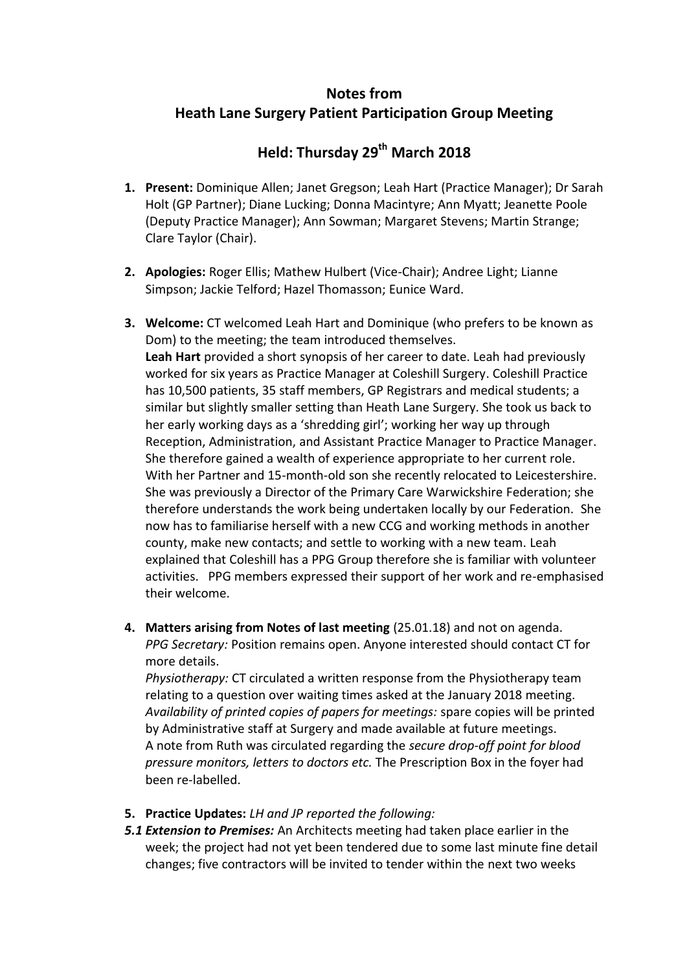# **Notes from Heath Lane Surgery Patient Participation Group Meeting**

# **Held: Thursday 29th March 2018**

- **1. Present:** Dominique Allen; Janet Gregson; Leah Hart (Practice Manager); Dr Sarah Holt (GP Partner); Diane Lucking; Donna Macintyre; Ann Myatt; Jeanette Poole (Deputy Practice Manager); Ann Sowman; Margaret Stevens; Martin Strange; Clare Taylor (Chair).
- **2. Apologies:** Roger Ellis; Mathew Hulbert (Vice-Chair); Andree Light; Lianne Simpson; Jackie Telford; Hazel Thomasson; Eunice Ward.
- **3. Welcome:** CT welcomed Leah Hart and Dominique (who prefers to be known as Dom) to the meeting; the team introduced themselves. **Leah Hart** provided a short synopsis of her career to date. Leah had previously worked for six years as Practice Manager at Coleshill Surgery. Coleshill Practice has 10,500 patients, 35 staff members, GP Registrars and medical students; a similar but slightly smaller setting than Heath Lane Surgery. She took us back to her early working days as a 'shredding girl'; working her way up through Reception, Administration, and Assistant Practice Manager to Practice Manager. She therefore gained a wealth of experience appropriate to her current role. With her Partner and 15-month-old son she recently relocated to Leicestershire. She was previously a Director of the Primary Care Warwickshire Federation; she therefore understands the work being undertaken locally by our Federation. She now has to familiarise herself with a new CCG and working methods in another county, make new contacts; and settle to working with a new team. Leah explained that Coleshill has a PPG Group therefore she is familiar with volunteer activities. PPG members expressed their support of her work and re-emphasised their welcome.
- **4. Matters arising from Notes of last meeting** (25.01.18) and not on agenda. *PPG Secretary:* Position remains open. Anyone interested should contact CT for more details.

*Physiotherapy:* CT circulated a written response from the Physiotherapy team relating to a question over waiting times asked at the January 2018 meeting. *Availability of printed copies of papers for meetings:* spare copies will be printed by Administrative staff at Surgery and made available at future meetings. A note from Ruth was circulated regarding the *secure drop-off point for blood pressure monitors, letters to doctors etc.* The Prescription Box in the foyer had been re-labelled.

- **5. Practice Updates:** *LH and JP reported the following:*
- *5.1 Extension to Premises:* An Architects meeting had taken place earlier in the week; the project had not yet been tendered due to some last minute fine detail changes; five contractors will be invited to tender within the next two weeks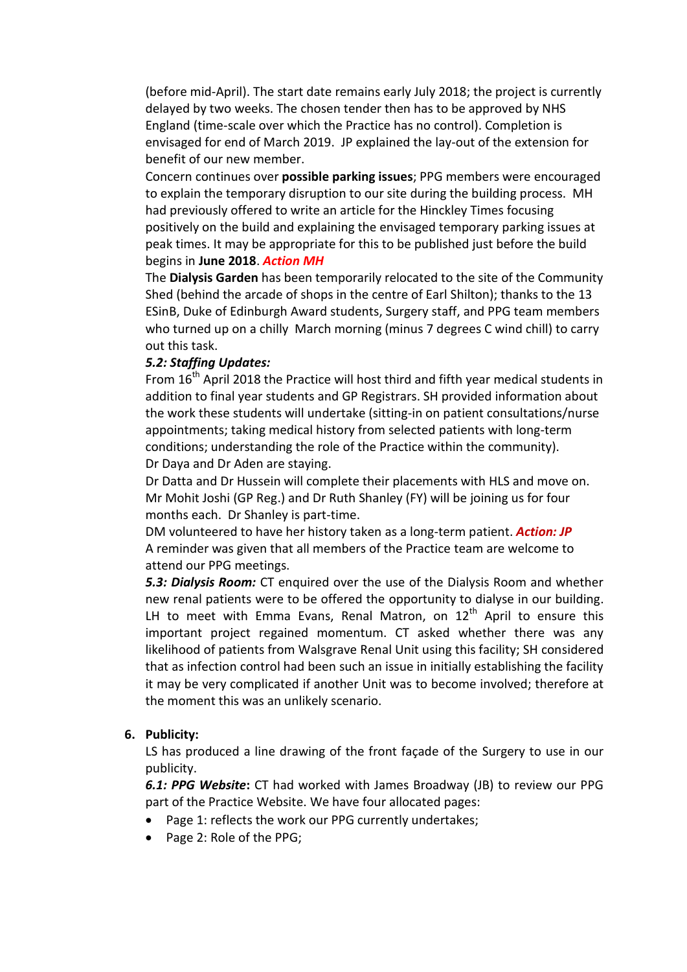(before mid-April). The start date remains early July 2018; the project is currently delayed by two weeks. The chosen tender then has to be approved by NHS England (time-scale over which the Practice has no control). Completion is envisaged for end of March 2019. JP explained the lay-out of the extension for benefit of our new member.

Concern continues over **possible parking issues**; PPG members were encouraged to explain the temporary disruption to our site during the building process. MH had previously offered to write an article for the Hinckley Times focusing positively on the build and explaining the envisaged temporary parking issues at peak times. It may be appropriate for this to be published just before the build begins in **June 2018**. *Action MH*

The **Dialysis Garden** has been temporarily relocated to the site of the Community Shed (behind the arcade of shops in the centre of Earl Shilton); thanks to the 13 ESinB, Duke of Edinburgh Award students, Surgery staff, and PPG team members who turned up on a chilly March morning (minus 7 degrees C wind chill) to carry out this task.

#### *5.2: Staffing Updates:*

From 16<sup>th</sup> April 2018 the Practice will host third and fifth year medical students in addition to final year students and GP Registrars. SH provided information about the work these students will undertake (sitting-in on patient consultations/nurse appointments; taking medical history from selected patients with long-term conditions; understanding the role of the Practice within the community). Dr Daya and Dr Aden are staying.

Dr Datta and Dr Hussein will complete their placements with HLS and move on. Mr Mohit Joshi (GP Reg.) and Dr Ruth Shanley (FY) will be joining us for four months each. Dr Shanley is part-time.

DM volunteered to have her history taken as a long-term patient. *Action: JP* A reminder was given that all members of the Practice team are welcome to attend our PPG meetings.

*5.3: Dialysis Room:* CT enquired over the use of the Dialysis Room and whether new renal patients were to be offered the opportunity to dialyse in our building. LH to meet with Emma Evans, Renal Matron, on  $12<sup>th</sup>$  April to ensure this important project regained momentum. CT asked whether there was any likelihood of patients from Walsgrave Renal Unit using this facility; SH considered that as infection control had been such an issue in initially establishing the facility it may be very complicated if another Unit was to become involved; therefore at the moment this was an unlikely scenario.

#### **6. Publicity:**

LS has produced a line drawing of the front façade of the Surgery to use in our publicity.

*6.1: PPG Website***:** CT had worked with James Broadway (JB) to review our PPG part of the Practice Website. We have four allocated pages:

- Page 1: reflects the work our PPG currently undertakes;
- Page 2: Role of the PPG;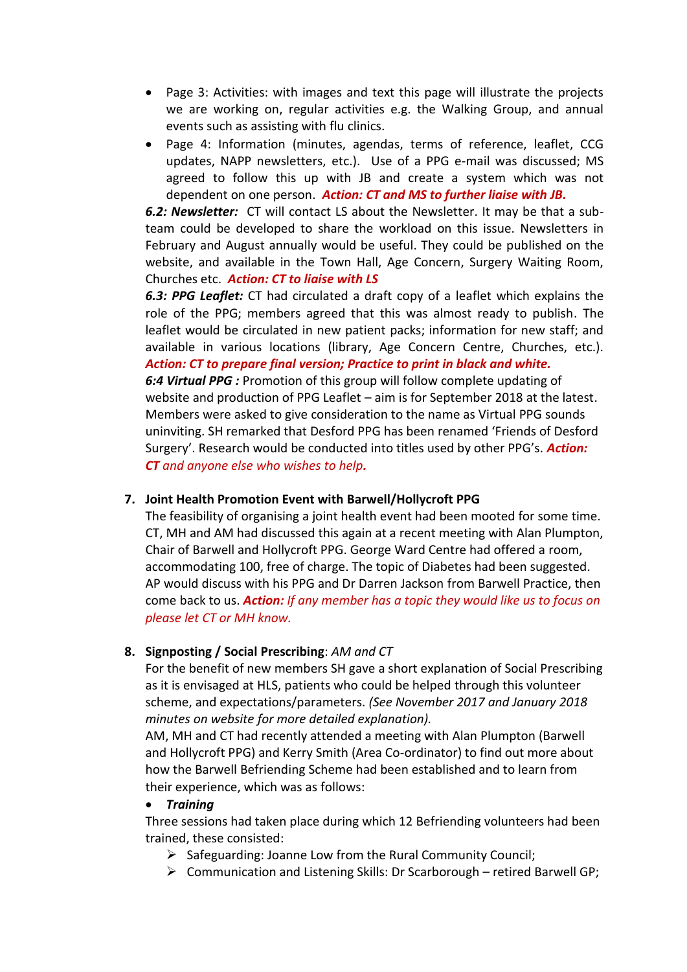- Page 3: Activities: with images and text this page will illustrate the projects we are working on, regular activities e.g. the Walking Group, and annual events such as assisting with flu clinics.
- Page 4: Information (minutes, agendas, terms of reference, leaflet, CCG updates, NAPP newsletters, etc.). Use of a PPG e-mail was discussed; MS agreed to follow this up with JB and create a system which was not dependent on one person. *Action: CT and MS to further liaise with JB.*

*6.2: Newsletter:* CT will contact LS about the Newsletter. It may be that a subteam could be developed to share the workload on this issue. Newsletters in February and August annually would be useful. They could be published on the website, and available in the Town Hall, Age Concern, Surgery Waiting Room, Churches etc. *Action: CT to liaise with LS*

*6.3: PPG Leaflet:* CT had circulated a draft copy of a leaflet which explains the role of the PPG; members agreed that this was almost ready to publish. The leaflet would be circulated in new patient packs; information for new staff; and available in various locations (library, Age Concern Centre, Churches, etc.). *Action: CT to prepare final version; Practice to print in black and white.*

*6:4 Virtual PPG :* Promotion of this group will follow complete updating of website and production of PPG Leaflet – aim is for September 2018 at the latest. Members were asked to give consideration to the name as Virtual PPG sounds uninviting. SH remarked that Desford PPG has been renamed 'Friends of Desford Surgery'. Research would be conducted into titles used by other PPG's. *Action: CT and anyone else who wishes to help.*

# **7. Joint Health Promotion Event with Barwell/Hollycroft PPG**

The feasibility of organising a joint health event had been mooted for some time. CT, MH and AM had discussed this again at a recent meeting with Alan Plumpton, Chair of Barwell and Hollycroft PPG. George Ward Centre had offered a room, accommodating 100, free of charge. The topic of Diabetes had been suggested. AP would discuss with his PPG and Dr Darren Jackson from Barwell Practice, then come back to us. *Action: If any member has a topic they would like us to focus on please let CT or MH know.*

# **8. Signposting / Social Prescribing**: *AM and CT*

For the benefit of new members SH gave a short explanation of Social Prescribing as it is envisaged at HLS, patients who could be helped through this volunteer scheme, and expectations/parameters. *(See November 2017 and January 2018 minutes on website for more detailed explanation).*

AM, MH and CT had recently attended a meeting with Alan Plumpton (Barwell and Hollycroft PPG) and Kerry Smith (Area Co-ordinator) to find out more about how the Barwell Befriending Scheme had been established and to learn from their experience, which was as follows:

# *Training*

Three sessions had taken place during which 12 Befriending volunteers had been trained, these consisted:

- $\triangleright$  Safeguarding: Joanne Low from the Rural Community Council;
- $\triangleright$  Communication and Listening Skills: Dr Scarborough retired Barwell GP;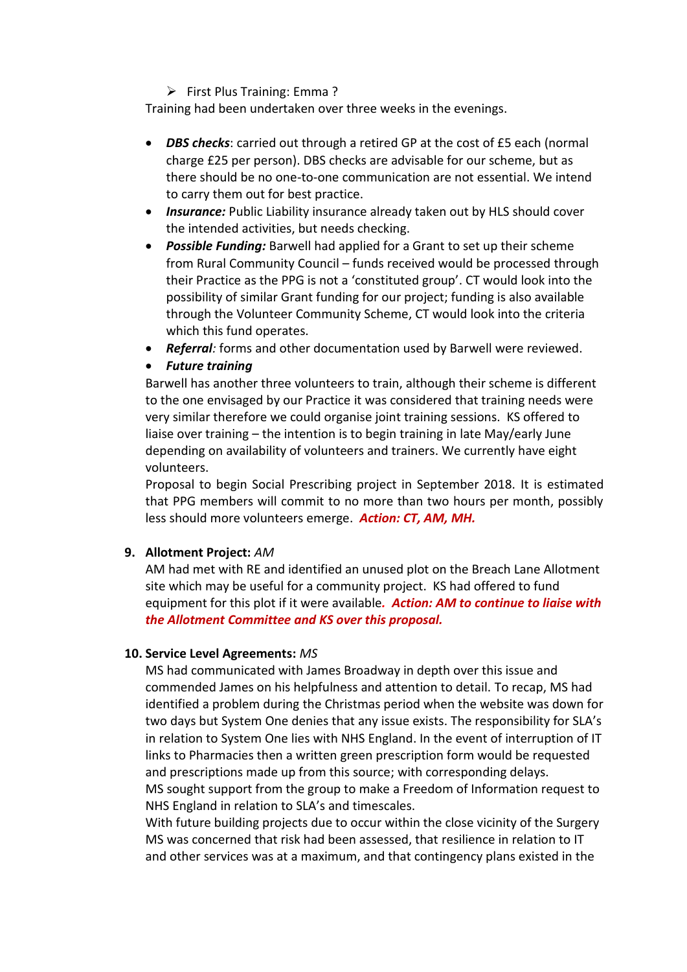$\triangleright$  First Plus Training: Emma ?

Training had been undertaken over three weeks in the evenings.

- *DBS checks*: carried out through a retired GP at the cost of £5 each (normal charge £25 per person). DBS checks are advisable for our scheme, but as there should be no one-to-one communication are not essential. We intend to carry them out for best practice.
- **Insurance:** Public Liability insurance already taken out by HLS should cover the intended activities, but needs checking.
- *Possible Funding:* Barwell had applied for a Grant to set up their scheme from Rural Community Council – funds received would be processed through their Practice as the PPG is not a 'constituted group'. CT would look into the possibility of similar Grant funding for our project; funding is also available through the Volunteer Community Scheme, CT would look into the criteria which this fund operates.
- *Referral:* forms and other documentation used by Barwell were reviewed.

# *Future training*

Barwell has another three volunteers to train, although their scheme is different to the one envisaged by our Practice it was considered that training needs were very similar therefore we could organise joint training sessions. KS offered to liaise over training – the intention is to begin training in late May/early June depending on availability of volunteers and trainers. We currently have eight volunteers.

Proposal to begin Social Prescribing project in September 2018. It is estimated that PPG members will commit to no more than two hours per month, possibly less should more volunteers emerge. *Action: CT, AM, MH.*

# **9. Allotment Project:** *AM*

AM had met with RE and identified an unused plot on the Breach Lane Allotment site which may be useful for a community project. KS had offered to fund equipment for this plot if it were available*. Action: AM to continue to liaise with the Allotment Committee and KS over this proposal.*

# **10. Service Level Agreements:** *MS*

MS had communicated with James Broadway in depth over this issue and commended James on his helpfulness and attention to detail. To recap, MS had identified a problem during the Christmas period when the website was down for two days but System One denies that any issue exists. The responsibility for SLA's in relation to System One lies with NHS England. In the event of interruption of IT links to Pharmacies then a written green prescription form would be requested and prescriptions made up from this source; with corresponding delays. MS sought support from the group to make a Freedom of Information request to NHS England in relation to SLA's and timescales.

With future building projects due to occur within the close vicinity of the Surgery MS was concerned that risk had been assessed, that resilience in relation to IT and other services was at a maximum, and that contingency plans existed in the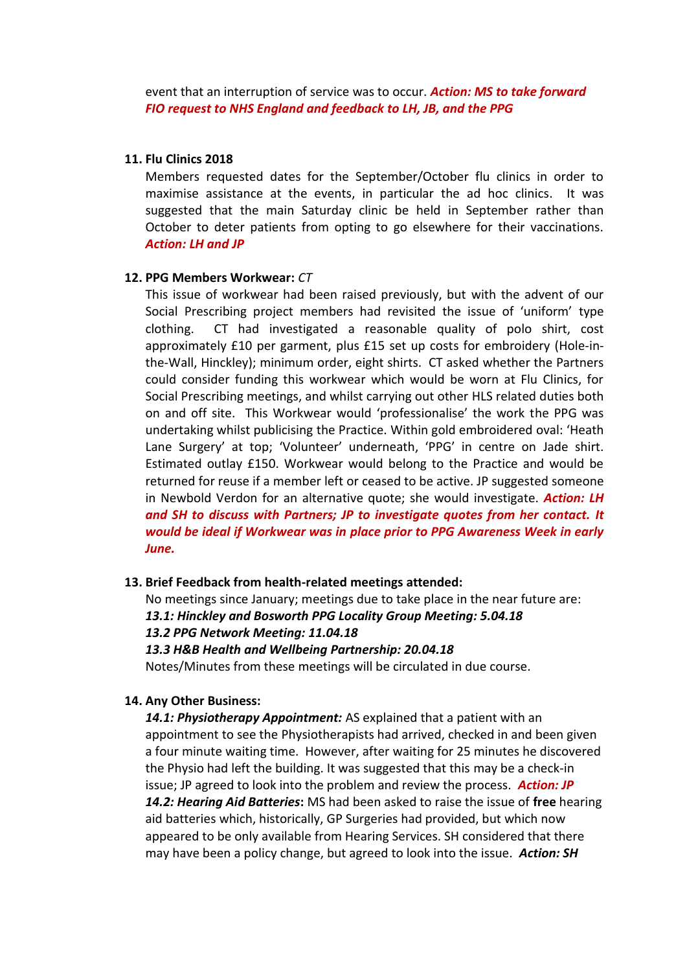event that an interruption of service was to occur. *Action: MS to take forward FIO request to NHS England and feedback to LH, JB, and the PPG*

#### **11. Flu Clinics 2018**

Members requested dates for the September/October flu clinics in order to maximise assistance at the events, in particular the ad hoc clinics. It was suggested that the main Saturday clinic be held in September rather than October to deter patients from opting to go elsewhere for their vaccinations. *Action: LH and JP*

#### **12. PPG Members Workwear:** *CT*

This issue of workwear had been raised previously, but with the advent of our Social Prescribing project members had revisited the issue of 'uniform' type clothing. CT had investigated a reasonable quality of polo shirt, cost approximately £10 per garment, plus £15 set up costs for embroidery (Hole-inthe-Wall, Hinckley); minimum order, eight shirts. CT asked whether the Partners could consider funding this workwear which would be worn at Flu Clinics, for Social Prescribing meetings, and whilst carrying out other HLS related duties both on and off site. This Workwear would 'professionalise' the work the PPG was undertaking whilst publicising the Practice. Within gold embroidered oval: 'Heath Lane Surgery' at top; 'Volunteer' underneath, 'PPG' in centre on Jade shirt. Estimated outlay £150. Workwear would belong to the Practice and would be returned for reuse if a member left or ceased to be active. JP suggested someone in Newbold Verdon for an alternative quote; she would investigate. *Action: LH and SH to discuss with Partners; JP to investigate quotes from her contact. It would be ideal if Workwear was in place prior to PPG Awareness Week in early June.*

#### **13. Brief Feedback from health-related meetings attended:**

No meetings since January; meetings due to take place in the near future are: *13.1: Hinckley and Bosworth PPG Locality Group Meeting: 5.04.18 13.2 PPG Network Meeting: 11.04.18 13.3 H&B Health and Wellbeing Partnership: 20.04.18* Notes/Minutes from these meetings will be circulated in due course.

#### **14. Any Other Business:**

*14.1: Physiotherapy Appointment:* AS explained that a patient with an appointment to see the Physiotherapists had arrived, checked in and been given a four minute waiting time. However, after waiting for 25 minutes he discovered the Physio had left the building. It was suggested that this may be a check-in issue; JP agreed to look into the problem and review the process. *Action: JP 14.2: Hearing Aid Batteries***:** MS had been asked to raise the issue of **free** hearing aid batteries which, historically, GP Surgeries had provided, but which now appeared to be only available from Hearing Services. SH considered that there may have been a policy change, but agreed to look into the issue. *Action: SH*